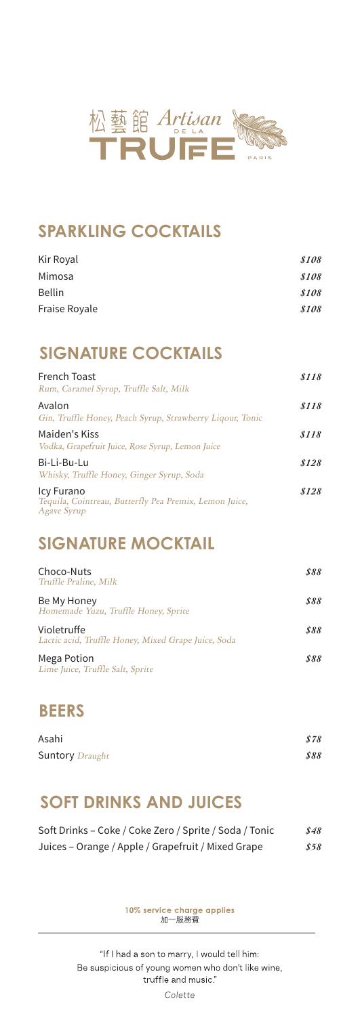

## **SPARKLING COCKTAILS**

| \$108 |
|-------|
| \$108 |
| \$108 |
| \$108 |
|       |

## **SIGNATURE COCKTAILS**

| French Toast<br>Rum, Caramel Syrup, Truffle Salt, Milk                              | \$118 |
|-------------------------------------------------------------------------------------|-------|
| Avalon<br>Gin, Truffle Honey, Peach Syrup, Strawberry Liqour, Tonic                 | \$118 |
| Maiden's Kiss<br>Vodka, Grapefruit Juice, Rose Syrup, Lemon Juice                   | \$118 |
| Bi-Li-Bu-Lu<br>Whisky, Truffle Honey, Ginger Syrup, Soda                            | \$128 |
| Icy Furano<br>Tequila, Cointreau, Butterfly Pea Premix, Lemon Juice,<br>Agave Syrup | \$128 |

## **SIGNATURE MOCKTAIL**

| Choco-Nuts<br>Truffle Praline, Milk                                | 888 |
|--------------------------------------------------------------------|-----|
| Be My Honey<br>Homemade Yuzu, Truffle Honey, Sprite                | 888 |
| Violetruffe<br>Lactic acid, Truffle Honey, Mixed Grape Juice, Soda | 888 |
| Mega Potion<br>Lime Juice, Truffle Salt, Sprite                    | 888 |

## **BEERS**

| Asahi                  | \$78 |
|------------------------|------|
| <b>Suntory</b> Draught | 888  |

# **SOFT DRINKS AND JUICES**

| Soft Drinks – Coke / Coke Zero / Sprite / Soda / Tonic | \$48 |
|--------------------------------------------------------|------|
| Juices – Orange / Apple / Grapefruit / Mixed Grape     | 858  |

10% service charge applies<br>加一服務費

"If I had a son to marry, I would tell him: Be suspicious of young women who don't like wine, truffle and music."

Colette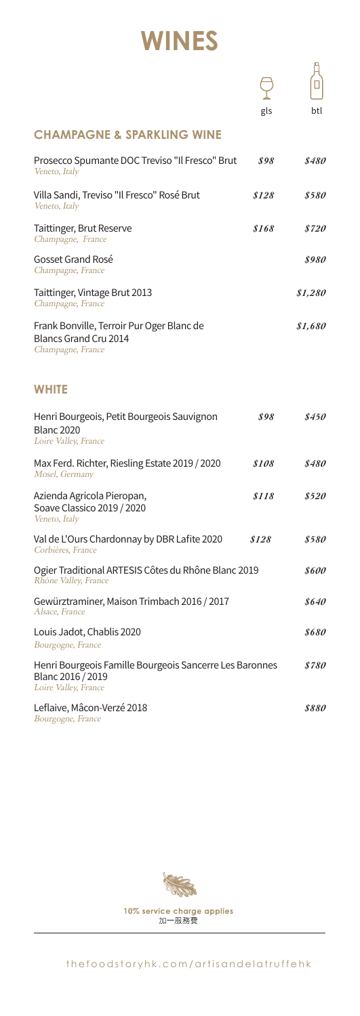# **WINES**

|                                                                                                      | gls                | btl                 |
|------------------------------------------------------------------------------------------------------|--------------------|---------------------|
| <b>CHAMPAGNE &amp; SPARKLING WINE</b>                                                                |                    |                     |
| Prosecco Spumante DOC Treviso "Il Fresco" Brut<br>Veneto, Italy                                      | 898                | \$480               |
| Villa Sandi, Treviso "Il Fresco" Rosé Brut<br>Veneto, Italy                                          | \$128              | \$580               |
| Taittinger, Brut Reserve<br>Champagne, France                                                        | \$168              | <i>\$720</i>        |
| Gosset Grand Rosé<br>Champagne, France                                                               |                    | \$980               |
| Taittinger, Vintage Brut 2013<br>Champagne, France                                                   |                    | \$1,280             |
| Frank Bonville, Terroir Pur Oger Blanc de<br>Blancs Grand Cru 2014<br>Champagne, France              |                    | \$1,680             |
| <b>WHITE</b>                                                                                         |                    |                     |
| Henri Bourgeois, Petit Bourgeois Sauvignon<br><b>Blanc 2020</b><br>Loire Valley, France              | 898                | \$450               |
| Max Ferd. Richter, Riesling Estate 2019 / 2020<br>Mosel, Germany                                     | <i><b>S108</b></i> | \$480               |
| Azienda Agricola Pieropan,<br>Soave Classico 2019 / 2020<br>Veneto, Italy                            | \$118              | <i><b>\$520</b></i> |
| Val de L'Ours Chardonnay by DBR Lafite 2020<br>Corbières, France                                     | \$128              | \$580               |
| Ogier Traditional ARTESIS Côtes du Rhône Blanc 2019<br>Rhône Valley, France                          |                    | <i><b>8600</b></i>  |
| Gewürztraminer, Maison Trimbach 2016 / 2017<br>Alsace, France                                        |                    | \$640               |
| Louis Jadot, Chablis 2020<br>Bourgogne, France                                                       |                    | 8680                |
| Henri Bourgeois Famille Bourgeois Sancerre Les Baronnes<br>Blanc 2016 / 2019<br>Loire Valley, France |                    | \$780               |
| Leflaive, Mâcon-Verzé 2018<br><i>Bourgogne, France</i>                                               |                    | 8880                |

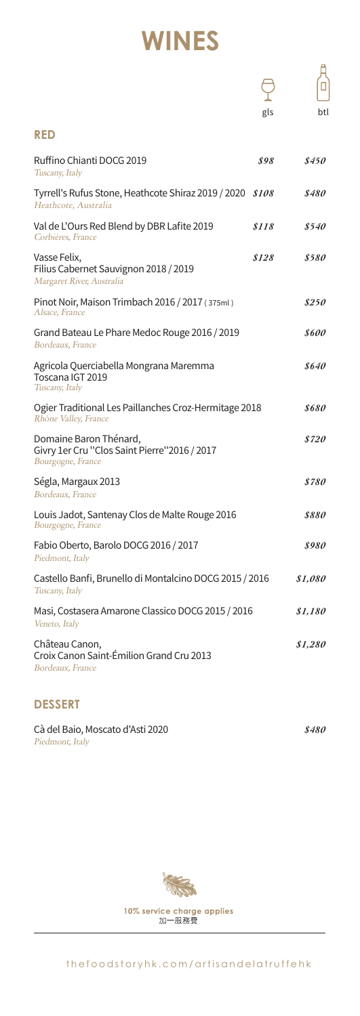# **WINES**

|                                                                                             | gls   | btl                 |
|---------------------------------------------------------------------------------------------|-------|---------------------|
| <b>RED</b>                                                                                  |       |                     |
| Ruffino Chianti DOCG 2019<br>Tuscany, Italy                                                 | \$98  | \$450               |
| Tyrrell's Rufus Stone, Heathcote Shiraz 2019 / 2020<br>Heathcote, Australia                 | \$108 | \$480               |
| Val de L'Ours Red Blend by DBR Lafite 2019<br>Corbières, France                             | \$118 | \$540               |
| Vasse Felix,<br>Filius Cabernet Sauvignon 2018 / 2019<br>Margaret River, Australia          | \$128 | \$580               |
| Pinot Noir, Maison Trimbach 2016 / 2017 (375ml)<br>Alsace, France                           |       | \$250               |
| Grand Bateau Le Phare Medoc Rouge 2016 / 2019<br>Bordeaux, France                           |       | <i><b>\$600</b></i> |
| Agricola Querciabella Mongrana Maremma<br>Toscana IGT 2019<br>Tuscany, Italy                |       | \$640               |
| Ogier Traditional Les Paillanches Croz-Hermitage 2018<br>Rhône Valley, France               |       | \$680               |
| Domaine Baron Thénard,<br>Givry 1er Cru "Clos Saint Pierre"2016 / 2017<br>Bourgogne, France |       | \$720               |
| Ségla, Margaux 2013<br>Bordeaux, France                                                     |       | \$780               |
| Louis Jadot, Santenay Clos de Malte Rouge 2016<br>Bourgogne, France                         |       | 8880                |
| Fabio Oberto, Barolo DOCG 2016 / 2017<br>Piedmont, Italy                                    |       | \$980               |
| Castello Banfi, Brunello di Montalcino DOCG 2015 / 2016<br>Tuscany, Italy                   |       | \$1,080             |
| Masi, Costasera Amarone Classico DOCG 2015 / 2016<br>Veneto, Italy                          |       | \$1,180             |
| Château Canon,<br>Croix Canon Saint-Émilion Grand Cru 2013<br>Bordeaux, France              |       | \$1,280             |

## **DESSERT**

Cà del Baio, Moscato d'Asti 2020 *\$480* Piedmont, Italy